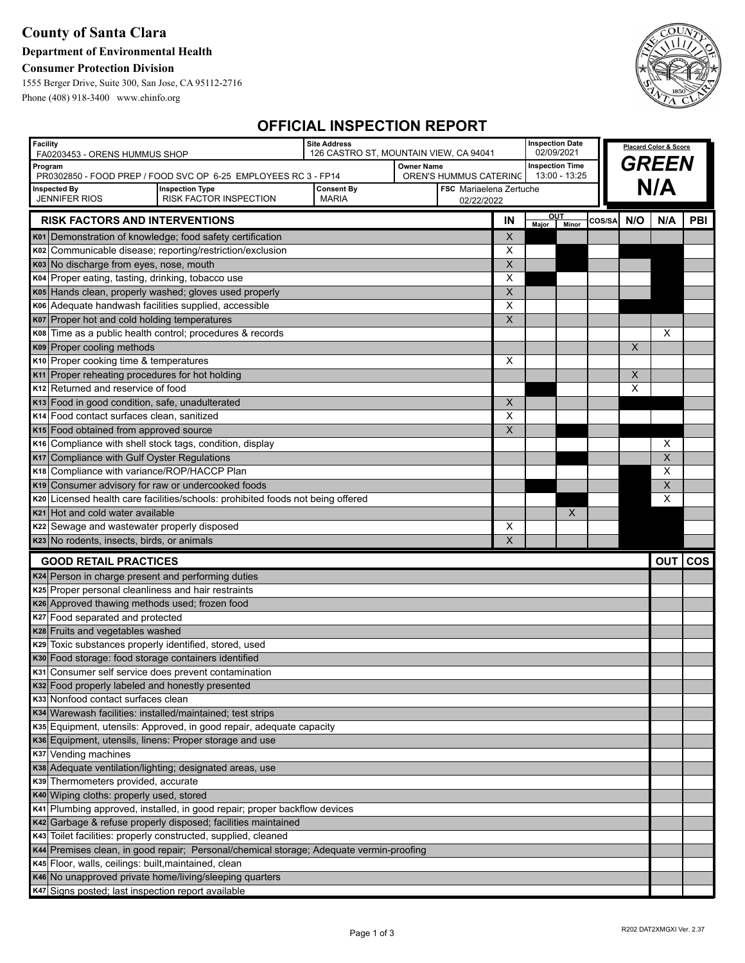## **County of Santa Clara**

### **Department of Environmental Health**

### **Consumer Protection Division**

1555 Berger Drive, Suite 300, San Jose, CA 95112-2716 Phone (408) 918-3400 www.ehinfo.org



# **OFFICIAL INSPECTION REPORT**

| <b>Facility</b><br>FA0203453 - ORENS HUMMUS SHOP                                                                      |                                                                                                                                       | <b>Site Address</b><br>126 CASTRO ST, MOUNTAIN VIEW, CA 94041 |  |                        | <b>Inspection Date</b><br>02/09/2021 |             |               | <b>Placard Color &amp; Score</b> |     |     |         |
|-----------------------------------------------------------------------------------------------------------------------|---------------------------------------------------------------------------------------------------------------------------------------|---------------------------------------------------------------|--|------------------------|--------------------------------------|-------------|---------------|----------------------------------|-----|-----|---------|
| Program                                                                                                               |                                                                                                                                       | <b>Owner Name</b>                                             |  |                        | <b>Inspection Time</b>               |             |               | <b>GREEN</b>                     |     |     |         |
|                                                                                                                       | PR0302850 - FOOD PREP / FOOD SVC OP 6-25 EMPLOYEES RC 3 - FP14                                                                        |                                                               |  | OREN'S HUMMUS CATERING |                                      |             | 13:00 - 13:25 |                                  |     |     |         |
| <b>Inspected By</b><br><b>JENNIFER RIOS</b>                                                                           | <b>Consent By</b><br><b>FSC</b> Mariaelena Zertuche<br><b>Inspection Type</b><br>RISK FACTOR INSPECTION<br><b>MARIA</b><br>02/22/2022 |                                                               |  |                        |                                      |             |               |                                  | N/A |     |         |
| <u>ou </u>                                                                                                            |                                                                                                                                       |                                                               |  |                        |                                      |             |               |                                  |     |     |         |
| <b>RISK FACTORS AND INTERVENTIONS</b>                                                                                 |                                                                                                                                       |                                                               |  |                        | IN                                   | Major Minor |               | COS/SA                           | N/O | N/A | PBI     |
|                                                                                                                       | K01 Demonstration of knowledge; food safety certification                                                                             |                                                               |  |                        | X                                    |             |               |                                  |     |     |         |
|                                                                                                                       | K02 Communicable disease; reporting/restriction/exclusion                                                                             |                                                               |  |                        | Х                                    |             |               |                                  |     |     |         |
| K03 No discharge from eyes, nose, mouth                                                                               |                                                                                                                                       |                                                               |  |                        | X                                    |             |               |                                  |     |     |         |
| K04 Proper eating, tasting, drinking, tobacco use                                                                     |                                                                                                                                       |                                                               |  |                        | Х                                    |             |               |                                  |     |     |         |
|                                                                                                                       | K05 Hands clean, properly washed; gloves used properly                                                                                |                                                               |  |                        | X                                    |             |               |                                  |     |     |         |
| K06 Adequate handwash facilities supplied, accessible                                                                 |                                                                                                                                       |                                                               |  |                        | Х                                    |             |               |                                  |     |     |         |
| K07 Proper hot and cold holding temperatures                                                                          |                                                                                                                                       |                                                               |  |                        | $\overline{\mathsf{x}}$              |             |               |                                  |     |     |         |
|                                                                                                                       | K08 Time as a public health control; procedures & records                                                                             |                                                               |  |                        |                                      |             |               |                                  |     | Х   |         |
| K09 Proper cooling methods                                                                                            |                                                                                                                                       |                                                               |  |                        |                                      |             |               |                                  | X   |     |         |
| K10 Proper cooking time & temperatures                                                                                |                                                                                                                                       |                                                               |  |                        | х                                    |             |               |                                  | X   |     |         |
| K <sub>11</sub> Proper reheating procedures for hot holding<br>K <sub>12</sub> Returned and reservice of food         |                                                                                                                                       |                                                               |  |                        |                                      |             |               |                                  | X   |     |         |
| K13 Food in good condition, safe, unadulterated                                                                       |                                                                                                                                       |                                                               |  |                        | $\boldsymbol{\mathsf{X}}$            |             |               |                                  |     |     |         |
| K <sub>14</sub> Food contact surfaces clean, sanitized                                                                |                                                                                                                                       |                                                               |  |                        | X                                    |             |               |                                  |     |     |         |
| K <sub>15</sub> Food obtained from approved source                                                                    |                                                                                                                                       |                                                               |  |                        | X                                    |             |               |                                  |     |     |         |
|                                                                                                                       | K <sub>16</sub> Compliance with shell stock tags, condition, display                                                                  |                                                               |  |                        |                                      |             |               |                                  |     | Х   |         |
| K17 Compliance with Gulf Oyster Regulations                                                                           |                                                                                                                                       |                                                               |  |                        |                                      |             |               |                                  |     | X   |         |
| K18 Compliance with variance/ROP/HACCP Plan                                                                           |                                                                                                                                       |                                                               |  |                        |                                      |             |               |                                  |     | X   |         |
| K19 Consumer advisory for raw or undercooked foods                                                                    |                                                                                                                                       |                                                               |  |                        |                                      |             |               |                                  |     | X   |         |
|                                                                                                                       | K20 Licensed health care facilities/schools: prohibited foods not being offered                                                       |                                                               |  |                        |                                      |             |               |                                  |     | X   |         |
| K21 Hot and cold water available                                                                                      |                                                                                                                                       |                                                               |  |                        |                                      |             | X             |                                  |     |     |         |
| K22 Sewage and wastewater properly disposed                                                                           |                                                                                                                                       |                                                               |  |                        | X                                    |             |               |                                  |     |     |         |
| K23 No rodents, insects, birds, or animals                                                                            |                                                                                                                                       |                                                               |  |                        | X                                    |             |               |                                  |     |     |         |
| <b>GOOD RETAIL PRACTICES</b>                                                                                          |                                                                                                                                       |                                                               |  |                        |                                      |             |               |                                  |     |     | OUT COS |
| K24 Person in charge present and performing duties                                                                    |                                                                                                                                       |                                                               |  |                        |                                      |             |               |                                  |     |     |         |
| K25 Proper personal cleanliness and hair restraints                                                                   |                                                                                                                                       |                                                               |  |                        |                                      |             |               |                                  |     |     |         |
| K26 Approved thawing methods used; frozen food                                                                        |                                                                                                                                       |                                                               |  |                        |                                      |             |               |                                  |     |     |         |
|                                                                                                                       | K27 Food separated and protected                                                                                                      |                                                               |  |                        |                                      |             |               |                                  |     |     |         |
| K28 Fruits and vegetables washed                                                                                      |                                                                                                                                       |                                                               |  |                        |                                      |             |               |                                  |     |     |         |
| K29 Toxic substances properly identified, stored, used                                                                |                                                                                                                                       |                                                               |  |                        |                                      |             |               |                                  |     |     |         |
| K30 Food storage: food storage containers identified                                                                  |                                                                                                                                       |                                                               |  |                        |                                      |             |               |                                  |     |     |         |
| K31 Consumer self service does prevent contamination                                                                  |                                                                                                                                       |                                                               |  |                        |                                      |             |               |                                  |     |     |         |
| K32 Food properly labeled and honestly presented                                                                      |                                                                                                                                       |                                                               |  |                        |                                      |             |               |                                  |     |     |         |
| K33 Nonfood contact surfaces clean                                                                                    |                                                                                                                                       |                                                               |  |                        |                                      |             |               |                                  |     |     |         |
| K34 Warewash facilities: installed/maintained; test strips                                                            |                                                                                                                                       |                                                               |  |                        |                                      |             |               |                                  |     |     |         |
| K35 Equipment, utensils: Approved, in good repair, adequate capacity                                                  |                                                                                                                                       |                                                               |  |                        |                                      |             |               |                                  |     |     |         |
| K36 Equipment, utensils, linens: Proper storage and use                                                               |                                                                                                                                       |                                                               |  |                        |                                      |             |               |                                  |     |     |         |
| K37 Vending machines                                                                                                  |                                                                                                                                       |                                                               |  |                        |                                      |             |               |                                  |     |     |         |
| K38 Adequate ventilation/lighting; designated areas, use                                                              |                                                                                                                                       |                                                               |  |                        |                                      |             |               |                                  |     |     |         |
| K39 Thermometers provided, accurate                                                                                   |                                                                                                                                       |                                                               |  |                        |                                      |             |               |                                  |     |     |         |
| K40 Wiping cloths: properly used, stored<br>K41 Plumbing approved, installed, in good repair; proper backflow devices |                                                                                                                                       |                                                               |  |                        |                                      |             |               |                                  |     |     |         |
| K42 Garbage & refuse properly disposed; facilities maintained                                                         |                                                                                                                                       |                                                               |  |                        |                                      |             |               |                                  |     |     |         |
| K43 Toilet facilities: properly constructed, supplied, cleaned                                                        |                                                                                                                                       |                                                               |  |                        |                                      |             |               |                                  |     |     |         |
|                                                                                                                       | K44 Premises clean, in good repair; Personal/chemical storage; Adequate vermin-proofing                                               |                                                               |  |                        |                                      |             |               |                                  |     |     |         |
| K45 Floor, walls, ceilings: built, maintained, clean                                                                  |                                                                                                                                       |                                                               |  |                        |                                      |             |               |                                  |     |     |         |
| K46 No unapproved private home/living/sleeping quarters                                                               |                                                                                                                                       |                                                               |  |                        |                                      |             |               |                                  |     |     |         |
| K47 Signs posted; last inspection report available                                                                    |                                                                                                                                       |                                                               |  |                        |                                      |             |               |                                  |     |     |         |
|                                                                                                                       |                                                                                                                                       |                                                               |  |                        |                                      |             |               |                                  |     |     |         |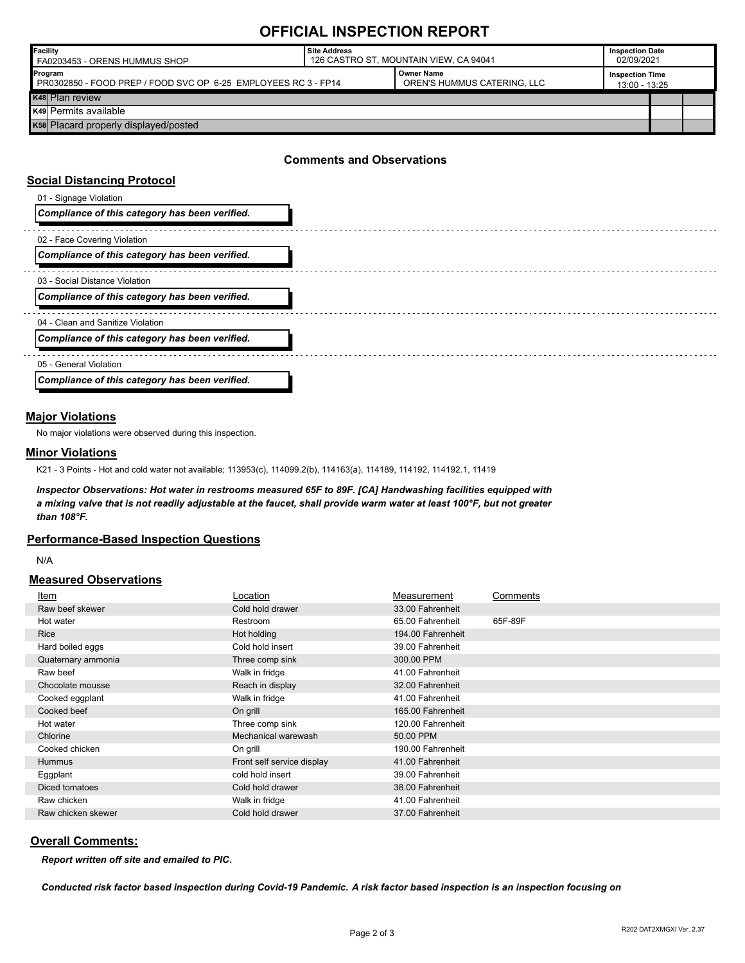## **OFFICIAL INSPECTION REPORT**

| <b>IFacility</b><br>FA0203453 - ORENS HUMMUS SHOP                         | Site Address<br>126 CASTRO ST, MOUNTAIN VIEW, CA 94041 |                                                  |  | <b>Inspection Date</b><br>02/09/2021    |  |
|---------------------------------------------------------------------------|--------------------------------------------------------|--------------------------------------------------|--|-----------------------------------------|--|
| Program<br>PR0302850 - FOOD PREP / FOOD SVC OP 6-25 EMPLOYEES RC 3 - FP14 |                                                        | <b>Owner Name</b><br>OREN'S HUMMUS CATERING, LLC |  | <b>Inspection Time</b><br>13:00 - 13:25 |  |
| K <sub>48</sub> Plan review                                               |                                                        |                                                  |  |                                         |  |
| <b>K49 Permits available</b>                                              |                                                        |                                                  |  |                                         |  |
| K58 Placard properly displayed/posted                                     |                                                        |                                                  |  |                                         |  |

### **Comments and Observations**

#### **Social Distancing Protocol**

| 01 - Signage Violation                         |  |
|------------------------------------------------|--|
| Compliance of this category has been verified. |  |
| 02 - Face Covering Violation                   |  |
| Compliance of this category has been verified. |  |
| 03 - Social Distance Violation                 |  |
| Compliance of this category has been verified. |  |
| 04 - Clean and Sanitize Violation              |  |
| Compliance of this category has been verified. |  |
| 05 - General Violation                         |  |
| Compliance of this category has been verified. |  |

#### **Major Violations**

No major violations were observed during this inspection.

#### **Minor Violations**

K21 - 3 Points - Hot and cold water not available; 113953(c), 114099.2(b), 114163(a), 114189, 114192, 114192.1, 11419

*Inspector Observations: Hot water in restrooms measured 65F to 89F. [CA] Handwashing facilities equipped with a mixing valve that is not readily adjustable at the faucet, shall provide warm water at least 100°F, but not greater than 108°F.*

#### **Performance-Based Inspection Questions**

N/A

#### **Measured Observations**

| Item               | Location                   | Measurement       | Comments |
|--------------------|----------------------------|-------------------|----------|
| Raw beef skewer    | Cold hold drawer           | 33.00 Fahrenheit  |          |
| Hot water          | Restroom                   | 65.00 Fahrenheit  | 65F-89F  |
| <b>Rice</b>        | Hot holding                | 194.00 Fahrenheit |          |
| Hard boiled eggs   | Cold hold insert           | 39.00 Fahrenheit  |          |
| Quaternary ammonia | Three comp sink            | 300.00 PPM        |          |
| Raw beef           | Walk in fridge             | 41.00 Fahrenheit  |          |
| Chocolate mousse   | Reach in display           | 32.00 Fahrenheit  |          |
| Cooked eggplant    | Walk in fridge             | 41.00 Fahrenheit  |          |
| Cooked beef        | On grill                   | 165.00 Fahrenheit |          |
| Hot water          | Three comp sink            | 120.00 Fahrenheit |          |
| Chlorine           | Mechanical warewash        | 50.00 PPM         |          |
| Cooked chicken     | On grill                   | 190.00 Fahrenheit |          |
| <b>Hummus</b>      | Front self service display | 41.00 Fahrenheit  |          |
| Eggplant           | cold hold insert           | 39.00 Fahrenheit  |          |
| Diced tomatoes     | Cold hold drawer           | 38.00 Fahrenheit  |          |
| Raw chicken        | Walk in fridge             | 41.00 Fahrenheit  |          |
| Raw chicken skewer | Cold hold drawer           | 37.00 Fahrenheit  |          |

#### **Overall Comments:**

*Report written off site and emailed to PIC.* 

*Conducted risk factor based inspection during Covid-19 Pandemic. A risk factor based inspection is an inspection focusing on*